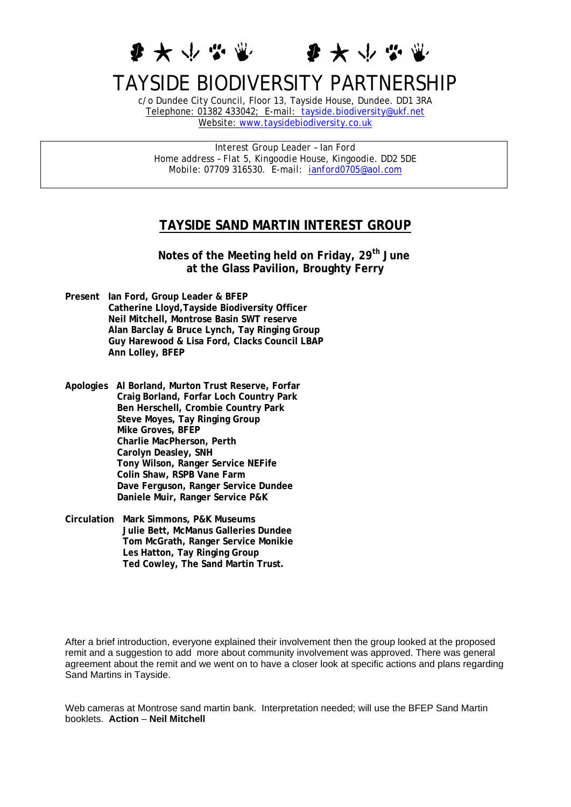●大 少 学 业



## TAYSIDE BIODIVERSITY PARTNERSHIP

c/o Dundee City Council, Floor 13, Tayside House, Dundee. DD1 3RA Telephone: 01382 433042; E-mail: [tayside.biodiversity@ukf.net](mailto:tayside.biodiversity@ukf.net) Website: [www.taysidebiodiversity.co.uk](http://www.taysidebiodiversity.co.uk/)

*Interest Group Leader – Ian Ford Home address – Flat 5, Kingoodie House, Kingoodie. DD2 5DE Mobile: 07709 316530. E-mail: [ianford0705@aol.com](mailto:ianford0705@aol.com)* 

## **TAYSIDE SAND MARTIN INTEREST GROUP**

 **Notes of the Meeting held on Friday, 29th June at the Glass Pavilion, Broughty Ferry** 

- **Present Ian Ford, Group Leader & BFEP Catherine Lloyd,Tayside Biodiversity Officer Neil Mitchell, Montrose Basin SWT reserve Alan Barclay & Bruce Lynch, Tay Ringing Group Guy Harewood & Lisa Ford, Clacks Council LBAP Ann Lolley, BFEP**
- **Apologies Al Borland, Murton Trust Reserve, Forfar Craig Borland, Forfar Loch Country Park Ben Herschell, Crombie Country Park Steve Moyes, Tay Ringing Group Mike Groves, BFEP Charlie MacPherson, Perth Carolyn Deasley, SNH Tony Wilson, Ranger Service NEFife Colin Shaw, RSPB Vane Farm Dave Ferguson, Ranger Service Dundee Daniele Muir, Ranger Service P&K**
- **Circulation Mark Simmons, P&K Museums Julie Bett, McManus Galleries Dundee Tom McGrath, Ranger Service Monikie Les Hatton, Tay Ringing Group Ted Cowley, The Sand Martin Trust.**

After a brief introduction, everyone explained their involvement then the group looked at the proposed remit and a suggestion to add more about community involvement was approved. There was general agreement about the remit and we went on to have a closer look at specific actions and plans regarding Sand Martins in Tayside.

Web cameras at Montrose sand martin bank. Interpretation needed; will use the BFEP Sand Martin booklets. **Action** – **Neil Mitchell**